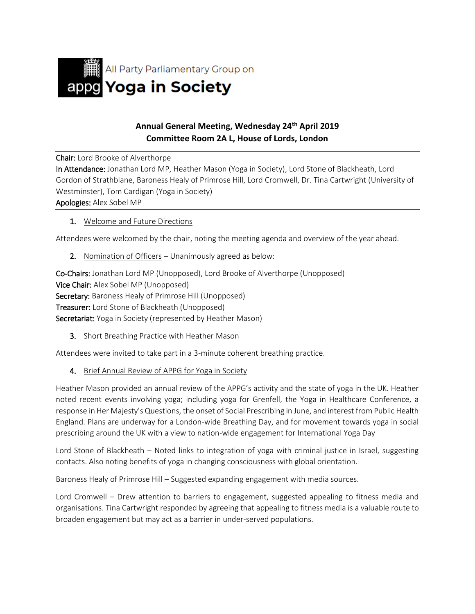

## **Annual General Meeting, Wednesday 24th April 2019 Committee Room 2A L, House of Lords, London**

Chair: Lord Brooke of Alverthorpe

In Attendance: Jonathan Lord MP, Heather Mason (Yoga in Society), Lord Stone of Blackheath, Lord Gordon of Strathblane, Baroness Healy of Primrose Hill, Lord Cromwell, Dr. Tina Cartwright (University of Westminster), Tom Cardigan (Yoga in Society)

Apologies: Alex Sobel MP

1. Welcome and Future Directions

Attendees were welcomed by the chair, noting the meeting agenda and overview of the year ahead.

2. Nomination of Officers – Unanimously agreed as below:

Co-Chairs: Jonathan Lord MP (Unopposed), Lord Brooke of Alverthorpe (Unopposed) Vice Chair: Alex Sobel MP (Unopposed) Secretary: Baroness Healy of Primrose Hill (Unopposed) Treasurer: Lord Stone of Blackheath (Unopposed) Secretariat: Yoga in Society (represented by Heather Mason)

3. Short Breathing Practice with Heather Mason

Attendees were invited to take part in a 3-minute coherent breathing practice.

4. Brief Annual Review of APPG for Yoga in Society

Heather Mason provided an annual review of the APPG's activity and the state of yoga in the UK. Heather noted recent events involving yoga; including yoga for Grenfell, the Yoga in Healthcare Conference, a response in Her Majesty's Questions, the onset of Social Prescribing in June, and interest from Public Health England. Plans are underway for a London-wide Breathing Day, and for movement towards yoga in social prescribing around the UK with a view to nation-wide engagement for International Yoga Day

Lord Stone of Blackheath – Noted links to integration of yoga with criminal justice in Israel, suggesting contacts. Also noting benefits of yoga in changing consciousness with global orientation.

Baroness Healy of Primrose Hill – Suggested expanding engagement with media sources.

Lord Cromwell – Drew attention to barriers to engagement, suggested appealing to fitness media and organisations. Tina Cartwright responded by agreeing that appealing to fitness media is a valuable route to broaden engagement but may act as a barrier in under-served populations.